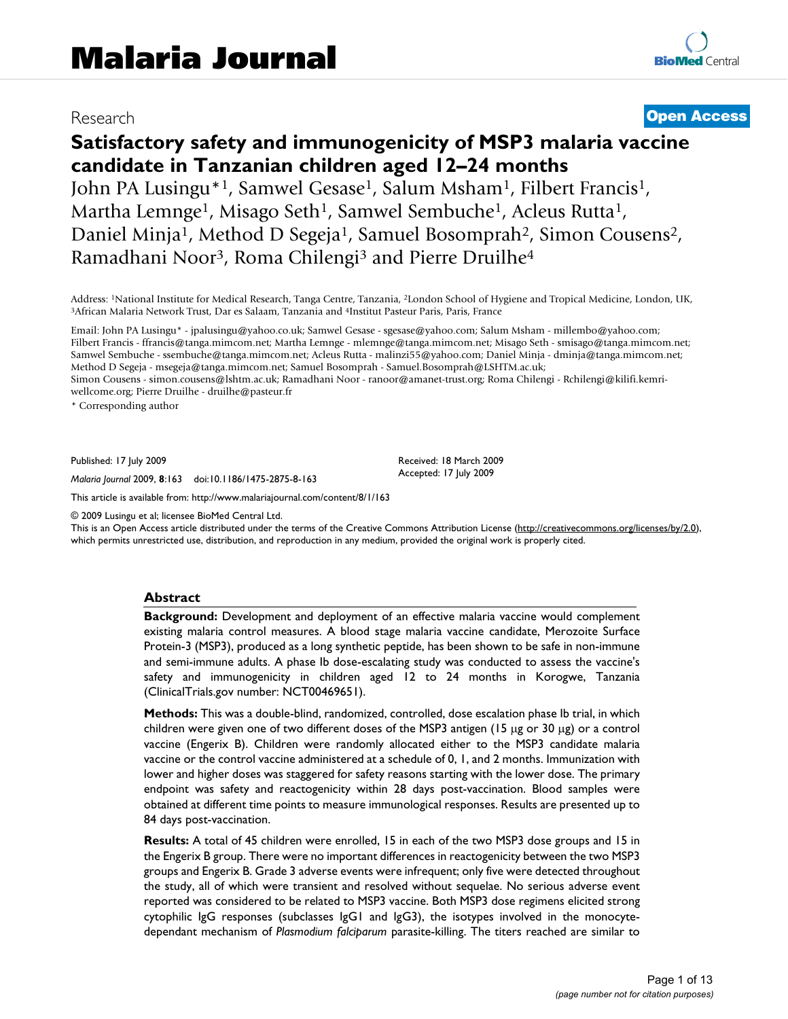# Research **[Open Access](http://www.biomedcentral.com/info/about/charter/)**

# **Satisfactory safety and immunogenicity of MSP3 malaria vaccine candidate in Tanzanian children aged 12–24 months**

John PA Lusingu<sup>\*1</sup>, Samwel Gesase<sup>1</sup>, Salum Msham<sup>1</sup>, Filbert Francis<sup>1</sup>, Martha Lemnge<sup>1</sup>, Misago Seth<sup>1</sup>, Samwel Sembuche<sup>1</sup>, Acleus Rutta<sup>1</sup>, Daniel Minja<sup>1</sup>, Method D Segeja<sup>1</sup>, Samuel Bosomprah<sup>2</sup>, Simon Cousens<sup>2</sup>, Ramadhani Noor<sup>3</sup>, Roma Chilengi<sup>3</sup> and Pierre Druilhe<sup>4</sup>

Address: <sup>1</sup>National Institute for Medical Research, Tanga Centre, Tanzania, <sup>2</sup>London School of Hygiene and Tropical Medicine, London, UK, <sup>3</sup>African Malaria Network Trust, Dar es Salaam, Tanzania and <sup>4</sup>Institut Pasteur

Email: John PA Lusingu\* - jpalusingu@yahoo.co.uk; Samwel Gesase - sgesase@yahoo.com; Salum Msham - millembo@yahoo.com; Filbert Francis - ffrancis@tanga.mimcom.net; Martha Lemnge - mlemnge@tanga.mimcom.net; Misago Seth - smisago@tanga.mimcom.net; Samwel Sembuche - ssembuche@tanga.mimcom.net; Acleus Rutta - malinzi55@yahoo.com; Daniel Minja - dminja@tanga.mimcom.net; Method D Segeja - msegeja@tanga.mimcom.net; Samuel Bosomprah - Samuel.Bosomprah@LSHTM.ac.uk; Simon Cousens - simon.cousens@lshtm.ac.uk; Ramadhani Noor - ranoor@amanet-trust.org; Roma Chilengi - Rchilengi@kilifi.kemri-

wellcome.org; Pierre Druilhe - druilhe@pasteur.fr

\* Corresponding author

Published: 17 July 2009

*Malaria Journal* 2009, **8**:163 doi:10.1186/1475-2875-8-163

[This article is available from: http://www.malariajournal.com/content/8/1/163](http://www.malariajournal.com/content/8/1/163)

© 2009 Lusingu et al; licensee BioMed Central Ltd.

This is an Open Access article distributed under the terms of the Creative Commons Attribution License [\(http://creativecommons.org/licenses/by/2.0\)](http://creativecommons.org/licenses/by/2.0), which permits unrestricted use, distribution, and reproduction in any medium, provided the original work is properly cited.

Received: 18 March 2009 Accepted: 17 July 2009

#### **Abstract**

**Background:** Development and deployment of an effective malaria vaccine would complement existing malaria control measures. A blood stage malaria vaccine candidate, Merozoite Surface Protein-3 (MSP3), produced as a long synthetic peptide, has been shown to be safe in non-immune and semi-immune adults. A phase Ib dose-escalating study was conducted to assess the vaccine's safety and immunogenicity in children aged 12 to 24 months in Korogwe, Tanzania (ClinicalTrials.gov number: NCT00469651).

**Methods:** This was a double-blind, randomized, controlled, dose escalation phase Ib trial, in which children were given one of two different doses of the MSP3 antigen (15 μg or 30 μg) or a control vaccine (Engerix B). Children were randomly allocated either to the MSP3 candidate malaria vaccine or the control vaccine administered at a schedule of 0, 1, and 2 months. Immunization with lower and higher doses was staggered for safety reasons starting with the lower dose. The primary endpoint was safety and reactogenicity within 28 days post-vaccination. Blood samples were obtained at different time points to measure immunological responses. Results are presented up to 84 days post-vaccination.

**Results:** A total of 45 children were enrolled, 15 in each of the two MSP3 dose groups and 15 in the Engerix B group. There were no important differences in reactogenicity between the two MSP3 groups and Engerix B. Grade 3 adverse events were infrequent; only five were detected throughout the study, all of which were transient and resolved without sequelae. No serious adverse event reported was considered to be related to MSP3 vaccine. Both MSP3 dose regimens elicited strong cytophilic IgG responses (subclasses IgG1 and IgG3), the isotypes involved in the monocytedependant mechanism of *Plasmodium falciparum* parasite-killing. The titers reached are similar to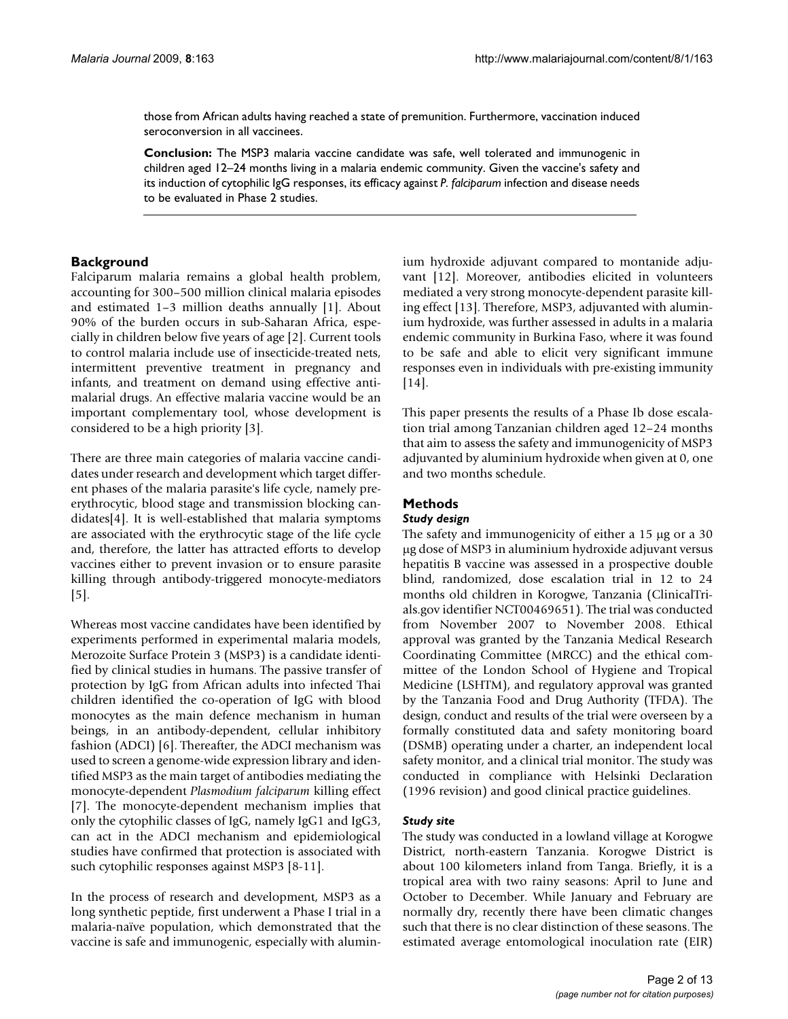those from African adults having reached a state of premunition. Furthermore, vaccination induced seroconversion in all vaccinees.

**Conclusion:** The MSP3 malaria vaccine candidate was safe, well tolerated and immunogenic in children aged 12–24 months living in a malaria endemic community. Given the vaccine's safety and its induction of cytophilic IgG responses, its efficacy against *P. falciparum* infection and disease needs to be evaluated in Phase 2 studies.

## **Background**

Falciparum malaria remains a global health problem, accounting for 300–500 million clinical malaria episodes and estimated 1–3 million deaths annually [1]. About 90% of the burden occurs in sub-Saharan Africa, especially in children below five years of age [2]. Current tools to control malaria include use of insecticide-treated nets, intermittent preventive treatment in pregnancy and infants, and treatment on demand using effective antimalarial drugs. An effective malaria vaccine would be an important complementary tool, whose development is considered to be a high priority [3].

There are three main categories of malaria vaccine candidates under research and development which target different phases of the malaria parasite's life cycle, namely preerythrocytic, blood stage and transmission blocking candidates[4]. It is well-established that malaria symptoms are associated with the erythrocytic stage of the life cycle and, therefore, the latter has attracted efforts to develop vaccines either to prevent invasion or to ensure parasite killing through antibody-triggered monocyte-mediators [5].

Whereas most vaccine candidates have been identified by experiments performed in experimental malaria models, Merozoite Surface Protein 3 (MSP3) is a candidate identified by clinical studies in humans. The passive transfer of protection by IgG from African adults into infected Thai children identified the co-operation of IgG with blood monocytes as the main defence mechanism in human beings, in an antibody-dependent, cellular inhibitory fashion (ADCI) [6]. Thereafter, the ADCI mechanism was used to screen a genome-wide expression library and identified MSP3 as the main target of antibodies mediating the monocyte-dependent *Plasmodium falciparum* killing effect [7]. The monocyte-dependent mechanism implies that only the cytophilic classes of IgG, namely IgG1 and IgG3, can act in the ADCI mechanism and epidemiological studies have confirmed that protection is associated with such cytophilic responses against MSP3 [8-11].

In the process of research and development, MSP3 as a long synthetic peptide, first underwent a Phase I trial in a malaria-naïve population, which demonstrated that the vaccine is safe and immunogenic, especially with aluminium hydroxide adjuvant compared to montanide adjuvant [12]. Moreover, antibodies elicited in volunteers mediated a very strong monocyte-dependent parasite killing effect [13]. Therefore, MSP3, adjuvanted with aluminium hydroxide, was further assessed in adults in a malaria endemic community in Burkina Faso, where it was found to be safe and able to elicit very significant immune responses even in individuals with pre-existing immunity [14].

This paper presents the results of a Phase Ib dose escalation trial among Tanzanian children aged 12–24 months that aim to assess the safety and immunogenicity of MSP3 adjuvanted by aluminium hydroxide when given at 0, one and two months schedule.

## **Methods**

## *Study design*

The safety and immunogenicity of either a 15 μg or a 30 μg dose of MSP3 in aluminium hydroxide adjuvant versus hepatitis B vaccine was assessed in a prospective double blind, randomized, dose escalation trial in 12 to 24 months old children in Korogwe, Tanzania (ClinicalTrials.gov identifier NCT00469651). The trial was conducted from November 2007 to November 2008. Ethical approval was granted by the Tanzania Medical Research Coordinating Committee (MRCC) and the ethical committee of the London School of Hygiene and Tropical Medicine (LSHTM), and regulatory approval was granted by the Tanzania Food and Drug Authority (TFDA). The design, conduct and results of the trial were overseen by a formally constituted data and safety monitoring board (DSMB) operating under a charter, an independent local safety monitor, and a clinical trial monitor. The study was conducted in compliance with Helsinki Declaration (1996 revision) and good clinical practice guidelines.

## *Study site*

The study was conducted in a lowland village at Korogwe District, north-eastern Tanzania. Korogwe District is about 100 kilometers inland from Tanga. Briefly, it is a tropical area with two rainy seasons: April to June and October to December. While January and February are normally dry, recently there have been climatic changes such that there is no clear distinction of these seasons. The estimated average entomological inoculation rate (EIR)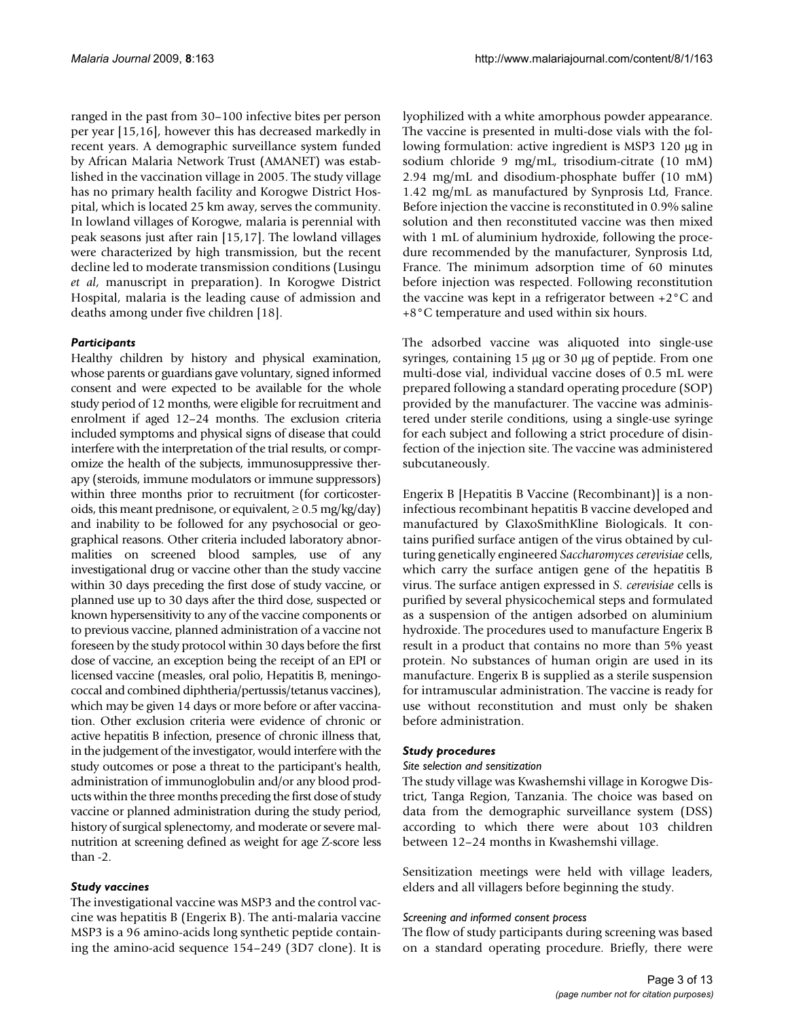ranged in the past from 30–100 infective bites per person per year [15,16], however this has decreased markedly in recent years. A demographic surveillance system funded by African Malaria Network Trust (AMANET) was established in the vaccination village in 2005. The study village has no primary health facility and Korogwe District Hospital, which is located 25 km away, serves the community. In lowland villages of Korogwe, malaria is perennial with peak seasons just after rain [15,17]. The lowland villages were characterized by high transmission, but the recent decline led to moderate transmission conditions (Lusingu *et al*, manuscript in preparation). In Korogwe District Hospital, malaria is the leading cause of admission and deaths among under five children [18].

## *Participants*

Healthy children by history and physical examination, whose parents or guardians gave voluntary, signed informed consent and were expected to be available for the whole study period of 12 months, were eligible for recruitment and enrolment if aged 12–24 months. The exclusion criteria included symptoms and physical signs of disease that could interfere with the interpretation of the trial results, or compromize the health of the subjects, immunosuppressive therapy (steroids, immune modulators or immune suppressors) within three months prior to recruitment (for corticosteroids, this meant prednisone, or equivalent,  $\geq 0.5$  mg/kg/day) and inability to be followed for any psychosocial or geographical reasons. Other criteria included laboratory abnormalities on screened blood samples, use of any investigational drug or vaccine other than the study vaccine within 30 days preceding the first dose of study vaccine, or planned use up to 30 days after the third dose, suspected or known hypersensitivity to any of the vaccine components or to previous vaccine, planned administration of a vaccine not foreseen by the study protocol within 30 days before the first dose of vaccine, an exception being the receipt of an EPI or licensed vaccine (measles, oral polio, Hepatitis B, meningococcal and combined diphtheria/pertussis/tetanus vaccines), which may be given 14 days or more before or after vaccination. Other exclusion criteria were evidence of chronic or active hepatitis B infection, presence of chronic illness that, in the judgement of the investigator, would interfere with the study outcomes or pose a threat to the participant's health, administration of immunoglobulin and/or any blood products within the three months preceding the first dose of study vaccine or planned administration during the study period, history of surgical splenectomy, and moderate or severe malnutrition at screening defined as weight for age Z-score less than -2.

## *Study vaccines*

The investigational vaccine was MSP3 and the control vaccine was hepatitis B (Engerix B). The anti-malaria vaccine MSP3 is a 96 amino-acids long synthetic peptide containing the amino-acid sequence 154–249 (3D7 clone). It is

lyophilized with a white amorphous powder appearance. The vaccine is presented in multi-dose vials with the following formulation: active ingredient is MSP3 120 μg in sodium chloride 9 mg/mL, trisodium-citrate (10 mM) 2.94 mg/mL and disodium-phosphate buffer (10 mM) 1.42 mg/mL as manufactured by Synprosis Ltd, France. Before injection the vaccine is reconstituted in 0.9% saline solution and then reconstituted vaccine was then mixed with 1 mL of aluminium hydroxide, following the procedure recommended by the manufacturer, Synprosis Ltd, France. The minimum adsorption time of 60 minutes before injection was respected. Following reconstitution the vaccine was kept in a refrigerator between +2°C and +8°C temperature and used within six hours.

The adsorbed vaccine was aliquoted into single-use syringes, containing 15 μg or 30 μg of peptide. From one multi-dose vial, individual vaccine doses of 0.5 mL were prepared following a standard operating procedure (SOP) provided by the manufacturer. The vaccine was administered under sterile conditions, using a single-use syringe for each subject and following a strict procedure of disinfection of the injection site. The vaccine was administered subcutaneously.

Engerix B [Hepatitis B Vaccine (Recombinant)] is a noninfectious recombinant hepatitis B vaccine developed and manufactured by GlaxoSmithKline Biologicals. It contains purified surface antigen of the virus obtained by culturing genetically engineered *Saccharomyces cerevisiae* cells, which carry the surface antigen gene of the hepatitis B virus. The surface antigen expressed in *S. cerevisiae* cells is purified by several physicochemical steps and formulated as a suspension of the antigen adsorbed on aluminium hydroxide. The procedures used to manufacture Engerix B result in a product that contains no more than 5% yeast protein. No substances of human origin are used in its manufacture. Engerix B is supplied as a sterile suspension for intramuscular administration. The vaccine is ready for use without reconstitution and must only be shaken before administration.

## *Study procedures*

### *Site selection and sensitization*

The study village was Kwashemshi village in Korogwe District, Tanga Region, Tanzania. The choice was based on data from the demographic surveillance system (DSS) according to which there were about 103 children between 12–24 months in Kwashemshi village.

Sensitization meetings were held with village leaders, elders and all villagers before beginning the study.

## *Screening and informed consent process*

The flow of study participants during screening was based on a standard operating procedure. Briefly, there were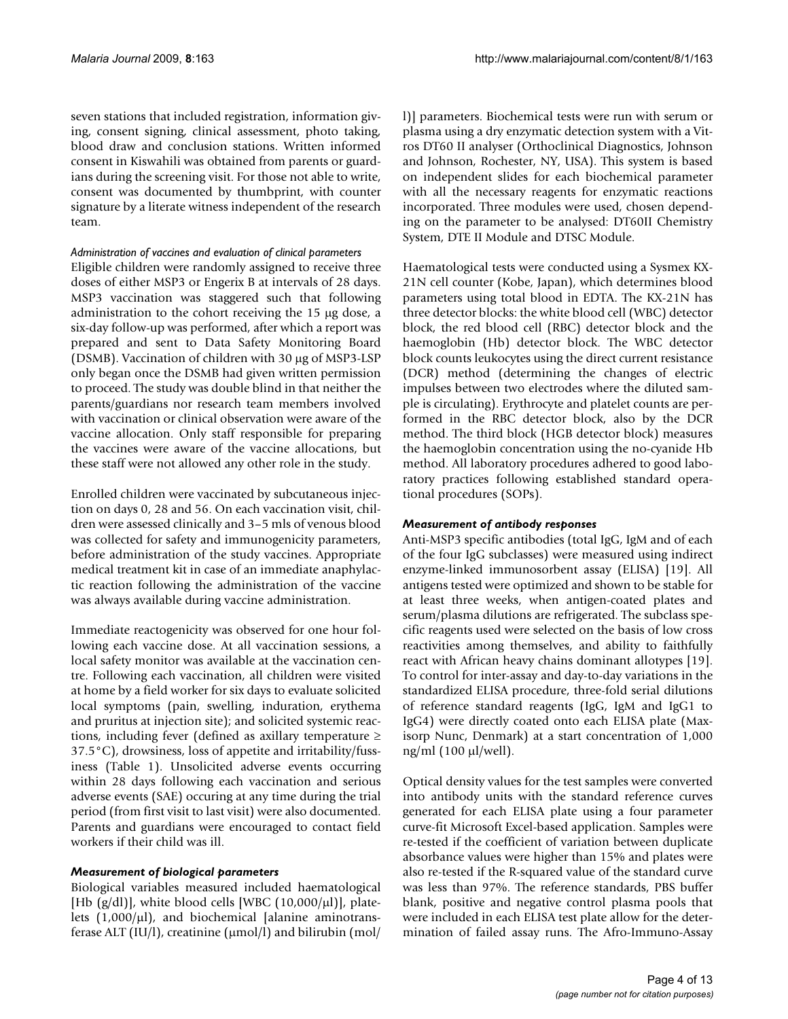seven stations that included registration, information giving, consent signing, clinical assessment, photo taking, blood draw and conclusion stations. Written informed consent in Kiswahili was obtained from parents or guardians during the screening visit. For those not able to write, consent was documented by thumbprint, with counter signature by a literate witness independent of the research team.

## *Administration of vaccines and evaluation of clinical parameters*

Eligible children were randomly assigned to receive three doses of either MSP3 or Engerix B at intervals of 28 days. MSP3 vaccination was staggered such that following administration to the cohort receiving the 15 μg dose, a six-day follow-up was performed, after which a report was prepared and sent to Data Safety Monitoring Board (DSMB). Vaccination of children with 30 μg of MSP3-LSP only began once the DSMB had given written permission to proceed. The study was double blind in that neither the parents/guardians nor research team members involved with vaccination or clinical observation were aware of the vaccine allocation. Only staff responsible for preparing the vaccines were aware of the vaccine allocations, but these staff were not allowed any other role in the study.

Enrolled children were vaccinated by subcutaneous injection on days 0, 28 and 56. On each vaccination visit, children were assessed clinically and 3–5 mls of venous blood was collected for safety and immunogenicity parameters, before administration of the study vaccines. Appropriate medical treatment kit in case of an immediate anaphylactic reaction following the administration of the vaccine was always available during vaccine administration.

Immediate reactogenicity was observed for one hour following each vaccine dose. At all vaccination sessions, a local safety monitor was available at the vaccination centre. Following each vaccination, all children were visited at home by a field worker for six days to evaluate solicited local symptoms (pain, swelling, induration, erythema and pruritus at injection site); and solicited systemic reactions, including fever (defined as axillary temperature  $\geq$ 37.5°C), drowsiness, loss of appetite and irritability/fussiness (Table 1). Unsolicited adverse events occurring within 28 days following each vaccination and serious adverse events (SAE) occuring at any time during the trial period (from first visit to last visit) were also documented. Parents and guardians were encouraged to contact field workers if their child was ill.

## *Measurement of biological parameters*

Biological variables measured included haematological [Hb  $(g/dl)$ ], white blood cells [WBC  $(10,000/\mu l)$ ], platelets (1,000/μl), and biochemical [alanine aminotransferase ALT (IU/l), creatinine (μmol/l) and bilirubin (mol/ l)] parameters. Biochemical tests were run with serum or plasma using a dry enzymatic detection system with a Vitros DT60 II analyser (Orthoclinical Diagnostics, Johnson and Johnson, Rochester, NY, USA). This system is based on independent slides for each biochemical parameter with all the necessary reagents for enzymatic reactions incorporated. Three modules were used, chosen depending on the parameter to be analysed: DT60II Chemistry System, DTE II Module and DTSC Module.

Haematological tests were conducted using a Sysmex KX-21N cell counter (Kobe, Japan), which determines blood parameters using total blood in EDTA. The KX-21N has three detector blocks: the white blood cell (WBC) detector block, the red blood cell (RBC) detector block and the haemoglobin (Hb) detector block. The WBC detector block counts leukocytes using the direct current resistance (DCR) method (determining the changes of electric impulses between two electrodes where the diluted sample is circulating). Erythrocyte and platelet counts are performed in the RBC detector block, also by the DCR method. The third block (HGB detector block) measures the haemoglobin concentration using the no-cyanide Hb method. All laboratory procedures adhered to good laboratory practices following established standard operational procedures (SOPs).

## *Measurement of antibody responses*

Anti-MSP3 specific antibodies (total IgG, IgM and of each of the four IgG subclasses) were measured using indirect enzyme-linked immunosorbent assay (ELISA) [19]. All antigens tested were optimized and shown to be stable for at least three weeks, when antigen-coated plates and serum/plasma dilutions are refrigerated. The subclass specific reagents used were selected on the basis of low cross reactivities among themselves, and ability to faithfully react with African heavy chains dominant allotypes [19]. To control for inter-assay and day-to-day variations in the standardized ELISA procedure, three-fold serial dilutions of reference standard reagents (IgG, IgM and IgG1 to IgG4) were directly coated onto each ELISA plate (Maxisorp Nunc, Denmark) at a start concentration of 1,000 ng/ml (100 μl/well).

Optical density values for the test samples were converted into antibody units with the standard reference curves generated for each ELISA plate using a four parameter curve-fit Microsoft Excel-based application. Samples were re-tested if the coefficient of variation between duplicate absorbance values were higher than 15% and plates were also re-tested if the R-squared value of the standard curve was less than 97%. The reference standards, PBS buffer blank, positive and negative control plasma pools that were included in each ELISA test plate allow for the determination of failed assay runs. The Afro-Immuno-Assay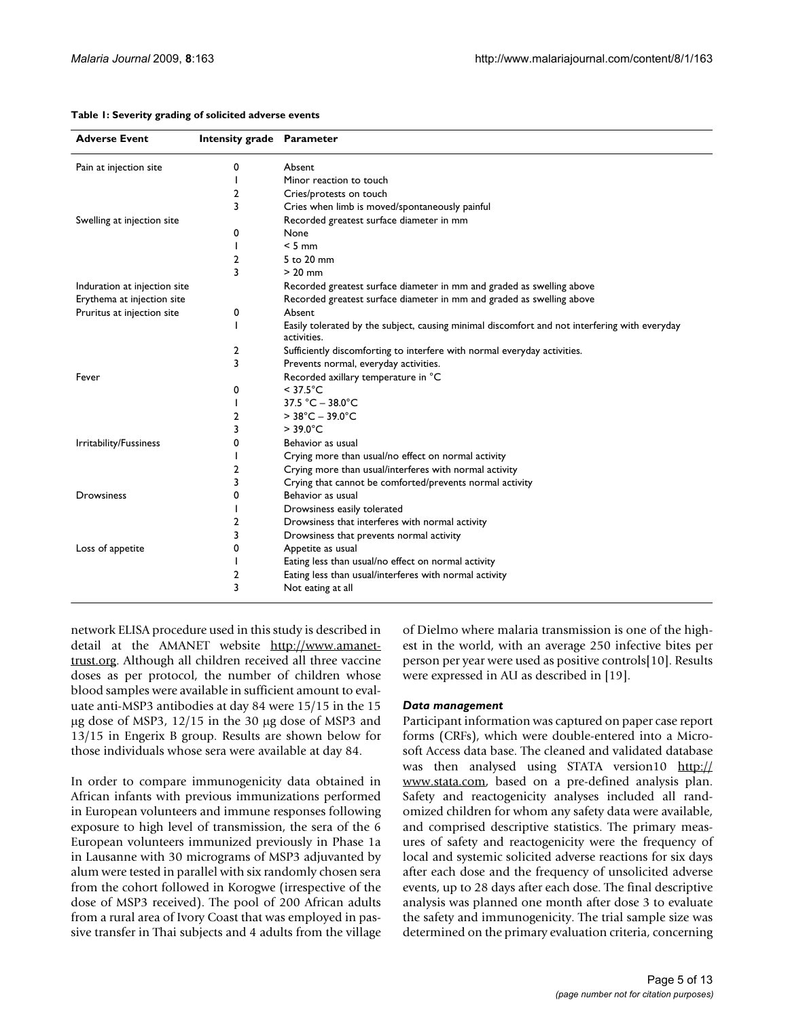| <b>Adverse Event</b>         | Intensity grade Parameter |                                                                                                              |
|------------------------------|---------------------------|--------------------------------------------------------------------------------------------------------------|
| Pain at injection site       | 0                         | Absent                                                                                                       |
|                              |                           | Minor reaction to touch                                                                                      |
|                              | 2                         | Cries/protests on touch                                                                                      |
|                              | 3                         | Cries when limb is moved/spontaneously painful                                                               |
| Swelling at injection site   |                           | Recorded greatest surface diameter in mm                                                                     |
|                              | 0                         | None                                                                                                         |
|                              |                           | $< 5$ mm                                                                                                     |
|                              | 2                         | 5 to 20 mm                                                                                                   |
|                              | 3                         | $> 20$ mm                                                                                                    |
| Induration at injection site |                           | Recorded greatest surface diameter in mm and graded as swelling above                                        |
| Erythema at injection site   |                           | Recorded greatest surface diameter in mm and graded as swelling above                                        |
| Pruritus at injection site   | 0                         | Absent                                                                                                       |
|                              |                           | Easily tolerated by the subject, causing minimal discomfort and not interfering with everyday<br>activities. |
|                              | 2                         | Sufficiently discomforting to interfere with normal everyday activities.                                     |
|                              | 3                         | Prevents normal, everyday activities.                                                                        |
| Fever                        |                           | Recorded axillary temperature in °C                                                                          |
|                              | 0                         | $<$ 37.5 $^{\circ}$ C                                                                                        |
|                              |                           | $37.5 °C - 38.0 °C$                                                                                          |
|                              | 2                         | $>$ 38 $^{\circ}$ C – 39.0 $^{\circ}$ C                                                                      |
|                              | 3                         | $> 39.0^{\circ}$ C                                                                                           |
| Irritability/Fussiness       | 0                         | Behavior as usual                                                                                            |
|                              |                           | Crying more than usual/no effect on normal activity                                                          |
|                              | 2                         | Crying more than usual/interferes with normal activity                                                       |
|                              | 3                         | Crying that cannot be comforted/prevents normal activity                                                     |
| Drowsiness                   | 0                         | Behavior as usual                                                                                            |
|                              |                           | Drowsiness easily tolerated                                                                                  |
|                              | 2                         | Drowsiness that interferes with normal activity                                                              |
|                              | 3                         | Drowsiness that prevents normal activity                                                                     |
| Loss of appetite             | 0                         | Appetite as usual                                                                                            |
|                              |                           | Eating less than usual/no effect on normal activity                                                          |
|                              | 2                         | Eating less than usual/interferes with normal activity                                                       |
|                              | 3                         | Not eating at all                                                                                            |

#### **Table 1: Severity grading of solicited adverse events**

network ELISA procedure used in this study is described in detail at the AMANET website [http://www.amanet](http://www.amanet-trust.org)[trust.org](http://www.amanet-trust.org). Although all children received all three vaccine doses as per protocol, the number of children whose blood samples were available in sufficient amount to evaluate anti-MSP3 antibodies at day 84 were 15/15 in the 15 μg dose of MSP3, 12/15 in the 30 μg dose of MSP3 and 13/15 in Engerix B group. Results are shown below for those individuals whose sera were available at day 84.

In order to compare immunogenicity data obtained in African infants with previous immunizations performed in European volunteers and immune responses following exposure to high level of transmission, the sera of the 6 European volunteers immunized previously in Phase 1a in Lausanne with 30 micrograms of MSP3 adjuvanted by alum were tested in parallel with six randomly chosen sera from the cohort followed in Korogwe (irrespective of the dose of MSP3 received). The pool of 200 African adults from a rural area of Ivory Coast that was employed in passive transfer in Thai subjects and 4 adults from the village

of Dielmo where malaria transmission is one of the highest in the world, with an average 250 infective bites per person per year were used as positive controls[10]. Results were expressed in AU as described in [19].

### *Data management*

Participant information was captured on paper case report forms (CRFs), which were double-entered into a Microsoft Access data base. The cleaned and validated database was then analysed using STATA version10 [http://](http://www.stata.com) [www.stata.com](http://www.stata.com), based on a pre-defined analysis plan. Safety and reactogenicity analyses included all randomized children for whom any safety data were available, and comprised descriptive statistics. The primary measures of safety and reactogenicity were the frequency of local and systemic solicited adverse reactions for six days after each dose and the frequency of unsolicited adverse events, up to 28 days after each dose. The final descriptive analysis was planned one month after dose 3 to evaluate the safety and immunogenicity. The trial sample size was determined on the primary evaluation criteria, concerning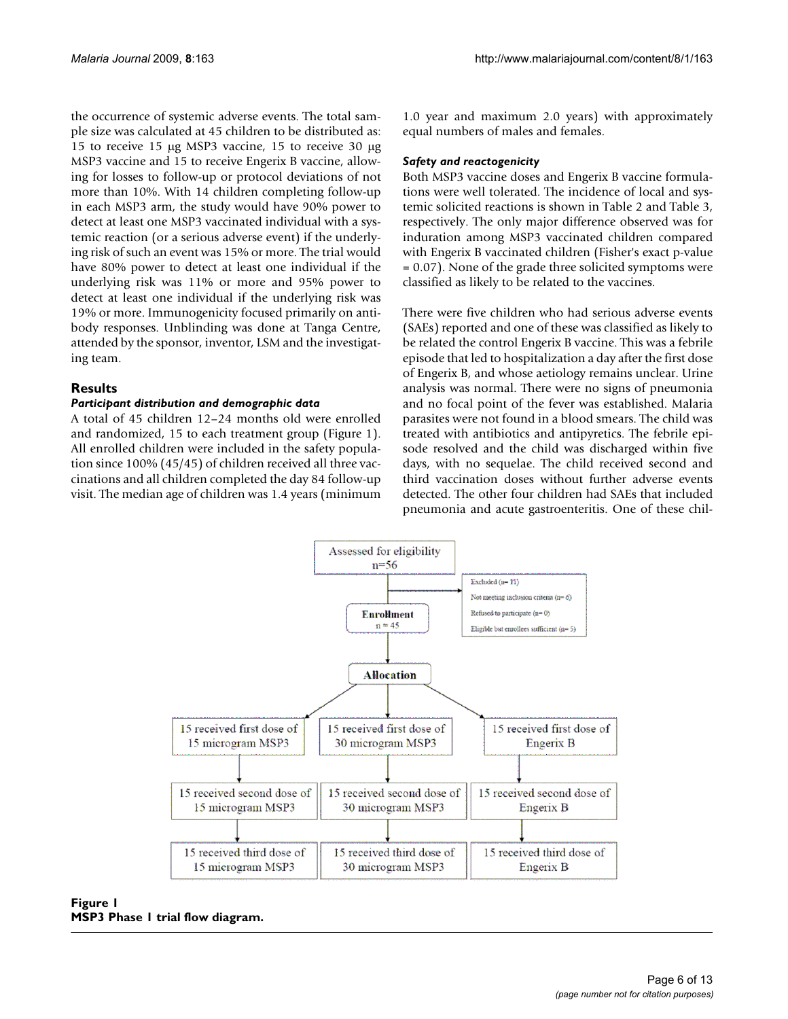the occurrence of systemic adverse events. The total sample size was calculated at 45 children to be distributed as: 15 to receive 15 μg MSP3 vaccine, 15 to receive 30 μg MSP3 vaccine and 15 to receive Engerix B vaccine, allowing for losses to follow-up or protocol deviations of not more than 10%. With 14 children completing follow-up in each MSP3 arm, the study would have 90% power to detect at least one MSP3 vaccinated individual with a systemic reaction (or a serious adverse event) if the underlying risk of such an event was 15% or more. The trial would have 80% power to detect at least one individual if the underlying risk was 11% or more and 95% power to detect at least one individual if the underlying risk was 19% or more. Immunogenicity focused primarily on antibody responses. Unblinding was done at Tanga Centre, attended by the sponsor, inventor, LSM and the investigating team.

## **Results**

## *Participant distribution and demographic data*

A total of 45 children 12–24 months old were enrolled and randomized, 15 to each treatment group (Figure 1). All enrolled children were included in the safety population since 100% (45/45) of children received all three vaccinations and all children completed the day 84 follow-up visit. The median age of children was 1.4 years (minimum

1.0 year and maximum 2.0 years) with approximately equal numbers of males and females.

## *Safety and reactogenicity*

Both MSP3 vaccine doses and Engerix B vaccine formulations were well tolerated. The incidence of local and systemic solicited reactions is shown in Table 2 and Table 3, respectively. The only major difference observed was for induration among MSP3 vaccinated children compared with Engerix B vaccinated children (Fisher's exact p-value = 0.07). None of the grade three solicited symptoms were classified as likely to be related to the vaccines.

There were five children who had serious adverse events (SAEs) reported and one of these was classified as likely to be related the control Engerix B vaccine. This was a febrile episode that led to hospitalization a day after the first dose of Engerix B, and whose aetiology remains unclear. Urine analysis was normal. There were no signs of pneumonia and no focal point of the fever was established. Malaria parasites were not found in a blood smears. The child was treated with antibiotics and antipyretics. The febrile episode resolved and the child was discharged within five days, with no sequelae. The child received second and third vaccination doses without further adverse events detected. The other four children had SAEs that included pneumonia and acute gastroenteritis. One of these chil-



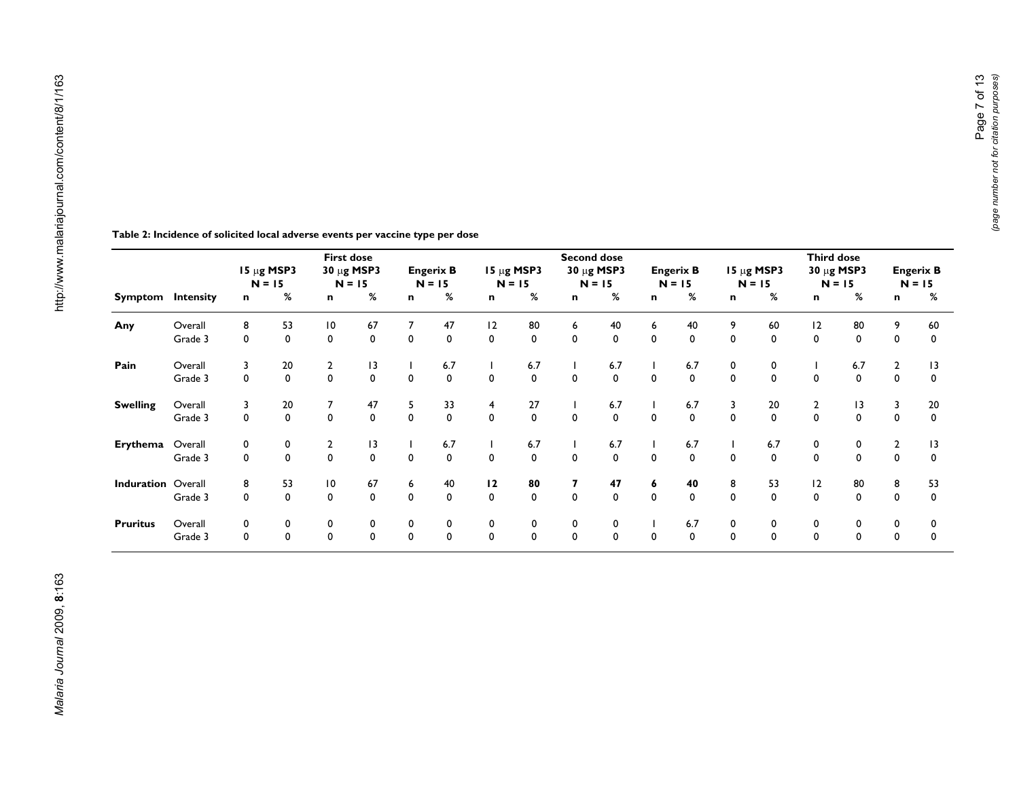|                           |         |             |                 | <b>First dose</b> |                 |    |                  |                         |                 |             | <b>Second dose</b> |             |                  |             |                 | <b>Third dose</b> |                 |                |                  |
|---------------------------|---------|-------------|-----------------|-------------------|-----------------|----|------------------|-------------------------|-----------------|-------------|--------------------|-------------|------------------|-------------|-----------------|-------------------|-----------------|----------------|------------------|
|                           |         |             | 15 $\mu$ g MSP3 |                   | 30 $\mu$ g MSP3 |    | <b>Engerix B</b> |                         | 15 $\mu$ g MSP3 |             | 30 $\mu$ g MSP3    |             | <b>Engerix B</b> |             | 15 $\mu$ g MSP3 |                   | 30 $\mu$ g MSP3 |                | <b>Engerix B</b> |
|                           |         |             | $N = 15$        |                   | $N = 15$        |    | $N = 15$         |                         | $N = 15$        |             | $N = 15$           |             | $N = 15$         |             | $N = 15$        |                   | $N = 15$        |                | $N = 15$         |
| Symptom Intensity         |         | n           | %               | $\mathbf n$       | %               | n  | %                | n                       | %               | n.          | %                  | n           | %                | n.          | %               | $\mathbf n$       | %               | $\mathbf n$    | %                |
| Any                       | Overall | 8           | 53              | $\overline{10}$   | 67              | 7  | 47               | 12                      | 80              | 6           | 40                 | 6           | 40               | 9           | 60              | 12                | 80              | 9              | 60               |
|                           | Grade 3 | 0           | $\mathbf 0$     | $\mathbf 0$       | $\mathbf 0$     | 0  | $\bf{0}$         | $\mathbf 0$             | 0               | $\mathbf 0$ | $\mathbf 0$        | $\mathbf 0$ | $\mathbf 0$      | 0           | 0               | 0                 | $\mathbf 0$     | $\mathbf 0$    | 0                |
| Pain                      | Overall | 3           | 20              | $\overline{2}$    | 13              |    | 6.7              |                         | 6.7             |             | 6.7                |             | 6.7              | 0           | 0               |                   | 6.7             | $\overline{2}$ | $\overline{13}$  |
|                           | Grade 3 | $\mathbf 0$ | $\mathbf 0$     | $\mathbf 0$       | $\mathbf 0$     | 0  | $\mathbf 0$      | $\mathbf 0$             | 0               | $\mathbf 0$ | $\mathbf 0$        | $\mathbf 0$ | 0                | $\mathbf 0$ | 0               | $\mathbf 0$       | $\mathbf 0$     | $\bf{0}$       | 0                |
| <b>Swelling</b>           | Overall | 3           | 20              |                   | 47              | 5. | 33               | $\overline{\mathbf{4}}$ | 27              |             | 6.7                |             | 6.7              | 3           | 20              | $\overline{2}$    | 13              | 3              | 20               |
|                           | Grade 3 | $\mathbf 0$ | $\mathbf 0$     | $\mathbf 0$       | $\mathbf 0$     | 0  | $\mathbf 0$      | $\mathbf 0$             | $\mathbf 0$     | $\mathbf 0$ | $\mathbf 0$        | $\mathbf 0$ | $\mathbf 0$      | 0           | $\mathbf 0$     | $\mathbf 0$       | $\mathbf 0$     | $\mathbf 0$    | $\mathbf 0$      |
| <b>Erythema</b>           | Overall | 0           | 0               | $\overline{2}$    | $\overline{13}$ |    | 6.7              |                         | 6.7             |             | 6.7                |             | 6.7              |             | 6.7             | 0                 | 0               | $\overline{2}$ | $\vert$ 3        |
|                           | Grade 3 | $\pmb{0}$   | $\mathbf 0$     | $\mathbf 0$       | $\mathbf 0$     | 0  | $\pmb{0}$        | $\mathbf 0$             | $\mathbf 0$     | $\mathbf 0$ | $\mathbf 0$        | 0           | $\mathbf 0$      | $\mathbf 0$ | $\mathbf 0$     | $\mathbf 0$       | $\mathbf 0$     | $\pmb{0}$      | $\mathbf 0$      |
| <b>Induration Overall</b> |         | 8           | 53              | $\overline{10}$   | 67              | 6  | 40               | 12                      | 80              | 7           | 47                 | 6           | 40               | 8           | 53              | 12                | 80              | 8              | 53               |
|                           | Grade 3 | $\pmb{0}$   | 0               | $\mathbf 0$       | $\mathbf 0$     | 0  | $\mathbf 0$      | $\mathbf 0$             | $\mathbf 0$     | $\mathbf 0$ | $\mathbf 0$        | $\mathbf 0$ | 0                | 0           | $\mathbf 0$     | $\mathbf 0$       | $\mathbf 0$     | $\mathbf 0$    | $\mathbf 0$      |
| <b>Pruritus</b>           | Overall | 0           | 0               | 0                 | 0               | 0  | 0                | 0                       | 0               | 0           | 0                  |             | 6.7              | 0           | 0               | 0                 | 0               | 0              | 0                |
|                           | Grade 3 | $\mathbf 0$ | 0               | 0                 | 0               | 0  | $\mathbf 0$      | $\mathbf 0$             | $\mathbf 0$     | $\mathbf 0$ | $\mathbf 0$        | 0           | $\mathbf 0$      | 0           | 0               | $\mathbf 0$       | $\mathbf 0$     | 0              | 0                |

**Table 2: Incidence of solicited local adverse events per vaccine type per dose**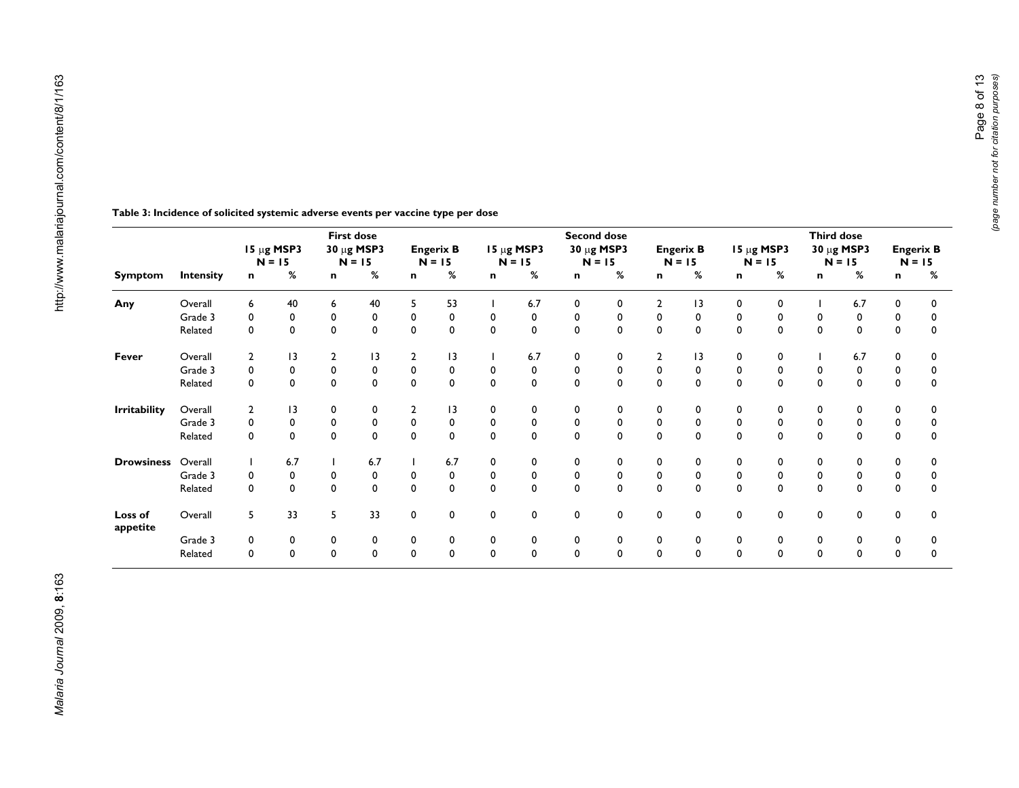|                     |                  |                |                 |                | <b>First dose</b> |                |                  |             | <b>Third dose</b> |                    |             |                |                  |             |                 |             |            |             |                  |
|---------------------|------------------|----------------|-----------------|----------------|-------------------|----------------|------------------|-------------|-------------------|--------------------|-------------|----------------|------------------|-------------|-----------------|-------------|------------|-------------|------------------|
|                     |                  |                | 15 $\mu$ g MSP3 |                | 30 $\mu$ g MSP3   |                | <b>Engerix B</b> |             | 15 $\mu$ g MSP3   | <b>Second dose</b> | 30 µg MSP3  |                | <b>Engerix B</b> |             | 15 $\mu$ g MSP3 |             | 30 µg MSP3 |             | <b>Engerix B</b> |
|                     |                  |                | $N = 15$        |                | $N = 15$          |                | $N = 15$         |             | $N = 15$          |                    | $N = 15$    |                | $N = 15$         |             | $N = 15$        |             | $N = 15$   |             | $N = 15$         |
| <b>Symptom</b>      | <b>Intensity</b> | n              | %               | n              | %                 | n              | %                | n           | %                 | n                  | %           | n              | %                | n           | %               | n           | %          | n           | %                |
| Any                 | Overall          | 6              | 40              | 6              | 40                | 5              | 53               |             | 6.7               | 0                  | $\mathbf 0$ | $\overline{2}$ | 3                | 0           | 0               |             | 6.7        | $\mathbf 0$ | 0                |
|                     | Grade 3          | 0              | 0               | 0              | $\mathbf 0$       | 0              | 0                | 0           | 0                 | 0                  | 0           | $\mathbf 0$    | 0                | 0           | 0               | 0           | 0          | 0           | 0                |
|                     | Related          | 0              | 0               | $\mathbf 0$    | 0                 | $\mathbf 0$    | $\mathbf 0$      | 0           | 0                 | $\mathbf 0$        | $\mathbf 0$ | $\mathbf 0$    | $\mathbf 0$      | $\mathbf 0$ | $\mathbf 0$     | $\mathbf 0$ | 0          | $\mathbf 0$ | $\mathbf 0$      |
| Fever               | Overall          | 2              | 13              | $\overline{2}$ | 13                | $\overline{2}$ | 3                |             | 6.7               | 0                  | 0           | $\overline{2}$ | 13               | 0           | 0               |             | 6.7        | $\mathbf 0$ | 0                |
|                     | Grade 3          | 0              | 0               | 0              | 0                 | 0              | 0                | 0           | $\mathbf 0$       | 0                  | 0           | 0              | 0                | 0           | 0               | 0           | 0          | 0           | 0                |
|                     | Related          | 0              | $\mathbf 0$     | $\mathbf 0$    | $\mathbf 0$       | $\mathbf 0$    | $\mathbf 0$      | $\mathbf 0$ | 0                 | $\mathbf 0$        | $\mathbf 0$ | $\Omega$       | 0                | $\mathbf 0$ | $\mathbf 0$     | $\mathbf 0$ | 0          | $\bf{0}$    | 0                |
| <b>Irritability</b> | Overall          | $\overline{2}$ | 13              | 0              | 0                 | $\overline{2}$ | 3                | 0           | 0                 | 0                  | 0           | 0              | 0                | 0           | $\mathbf 0$     | $\mathbf 0$ | 0          | 0           | 0                |
|                     | Grade 3          | 0              | 0               | 0              | 0                 | 0              | 0                | 0           | 0                 | 0                  | 0           | 0              | 0                | 0           | 0               | 0           | 0          | 0           | 0                |
|                     | Related          | 0              | 0               | 0              | $\mathbf 0$       | $\mathbf 0$    | $\mathbf 0$      | 0           | 0                 | 0                  | $\mathbf 0$ | 0              | $\mathbf 0$      | 0           | 0               | $\mathbf 0$ | 0          | $\mathbf 0$ | 0                |
| <b>Drowsiness</b>   | Overall          |                | 6.7             |                | 6.7               |                | 6.7              | 0           | 0                 | 0                  | 0           | 0              | 0                | 0           | 0               | 0           | 0          | 0           | 0                |
|                     | Grade 3          | 0              | 0               | 0              | $\mathbf 0$       | 0              | 0                | $\mathbf 0$ | 0                 | 0                  | $\mathbf 0$ | 0              | 0                | 0           | 0               | $\mathbf 0$ | 0          | 0           | 0                |
|                     | Related          | 0              | $\mathbf 0$     | $\mathbf 0$    | $\mathbf 0$       | $\Omega$       | $\mathbf 0$      | $\mathbf 0$ | 0                 | $\mathbf 0$        | $\mathbf 0$ | $\Omega$       | $\mathbf 0$      | 0           | $\mathbf 0$     | $\mathbf 0$ | $\Omega$   | $\mathbf 0$ | $\mathbf 0$      |
| Loss of<br>appetite | Overall          | 5              | 33              | 5              | 33                | 0              | $\mathbf 0$      | 0           | 0                 | 0                  | 0           | 0              | $\mathbf 0$      | 0           | 0               | 0           | 0          | 0           | 0                |
|                     | Grade 3          | 0              | 0               | 0              | 0                 | 0              | 0                | 0           | 0                 | 0                  | 0           | 0              | 0                | 0           | 0               | 0           | 0          | 0           | 0                |
|                     | Related          | 0              | 0               | 0              | $\mathbf 0$       | 0              | $\mathbf 0$      | $\mathbf 0$ | 0                 | 0                  | $\mathbf 0$ | 0              | $\mathbf 0$      | $\mathbf 0$ | $\mathbf 0$     | $\mathbf 0$ | 0          | $\mathbf 0$ | $\mathbf 0$      |

**Table 3: Incidence of solicited systemic adverse events per vaccine type per dose**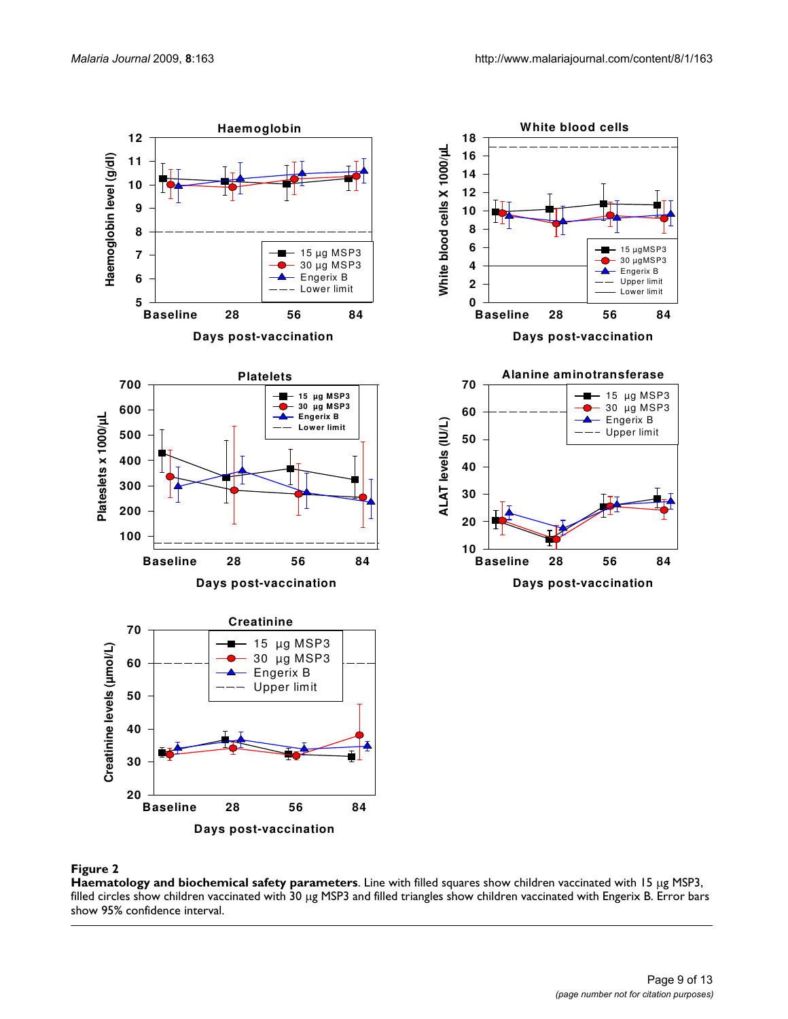

### Figure 2

**Haematology and biochemical safety parameters**. Line with filled squares show children vaccinated with 15 μg MSP3, filled circles show children vaccinated with 30 μg MSP3 and filled triangles show children vaccinated with Engerix B. Error bars show 95% confidence interval.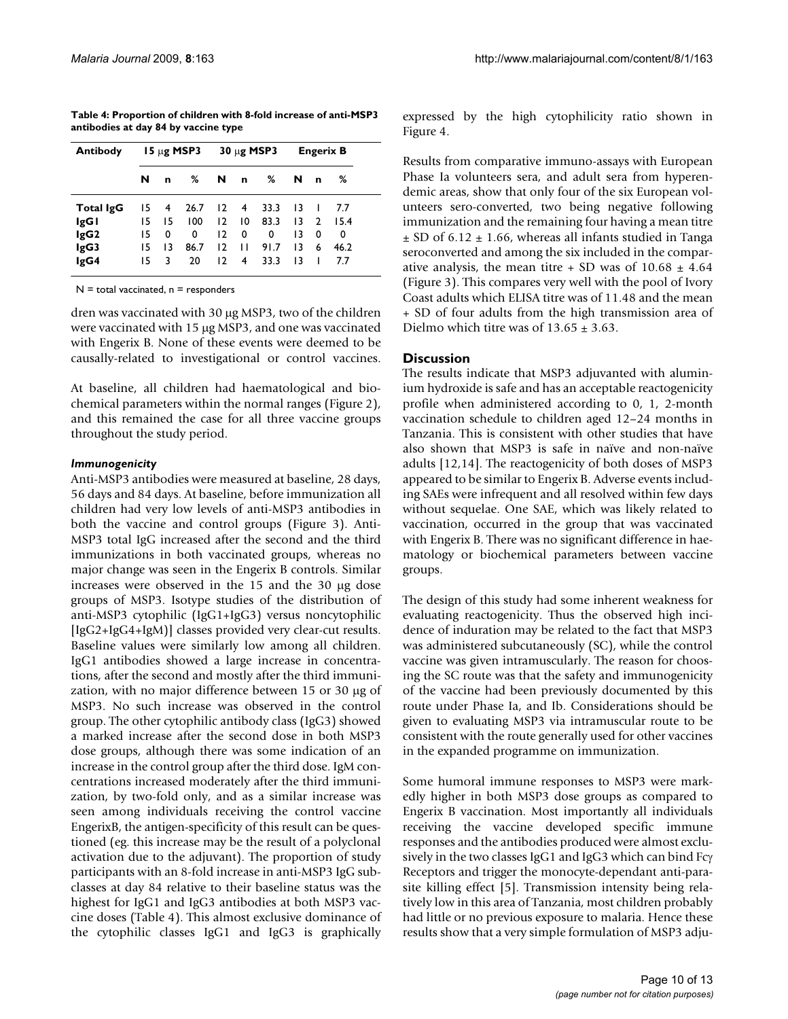**Table 4: Proportion of children with 8-fold increase of anti-MSP3 antibodies at day 84 by vaccine type**

| Antibody         |     |                | $15 \mu$ g MSP3 |                 |             | $30 \mu g$ MSP3 | <b>Engerix B</b> |               |      |  |
|------------------|-----|----------------|-----------------|-----------------|-------------|-----------------|------------------|---------------|------|--|
|                  | N   | n              | %               | N               | $\mathbf n$ | %               | N                | n             | ℅    |  |
| <b>Total IgG</b> | 15. | $\overline{4}$ | $26.7$ $12$ 4   |                 |             | 33.3            | $\overline{13}$  | - 1           | 7.7  |  |
| IgGI             | 15  | 15             | 100             | 12              | 10          | 83.3            | $\overline{13}$  | $\mathcal{L}$ | 15.4 |  |
| lgG2             | 15  | 0              | 0               | $\overline{2}$  | 0           | 0               | 13               | 0             | 0    |  |
| lgG3             | 15  | 13             | 86.7            | 12              | п           | 91.7            | 13               | 6             | 46.2 |  |
| lgG4             | 15  | 3              | 20              | 12 <sup>7</sup> | 4           | 33.3            | 13               | ı             | 7.7  |  |

 $N =$  total vaccinated,  $n =$  responders

dren was vaccinated with 30 μg MSP3, two of the children were vaccinated with 15 μg MSP3, and one was vaccinated with Engerix B. None of these events were deemed to be causally-related to investigational or control vaccines.

At baseline, all children had haematological and biochemical parameters within the normal ranges (Figure 2), and this remained the case for all three vaccine groups throughout the study period.

#### *Immunogenicity*

Anti-MSP3 antibodies were measured at baseline, 28 days, 56 days and 84 days. At baseline, before immunization all children had very low levels of anti-MSP3 antibodies in both the vaccine and control groups (Figure 3). Anti-MSP3 total IgG increased after the second and the third immunizations in both vaccinated groups, whereas no major change was seen in the Engerix B controls. Similar increases were observed in the 15 and the 30 μg dose groups of MSP3. Isotype studies of the distribution of anti-MSP3 cytophilic (IgG1+IgG3) versus noncytophilic [IgG2+IgG4+IgM)] classes provided very clear-cut results. Baseline values were similarly low among all children. IgG1 antibodies showed a large increase in concentrations, after the second and mostly after the third immunization, with no major difference between 15 or 30 μg of MSP3. No such increase was observed in the control group. The other cytophilic antibody class (IgG3) showed a marked increase after the second dose in both MSP3 dose groups, although there was some indication of an increase in the control group after the third dose. IgM concentrations increased moderately after the third immunization, by two-fold only, and as a similar increase was seen among individuals receiving the control vaccine EngerixB, the antigen-specificity of this result can be questioned (eg. this increase may be the result of a polyclonal activation due to the adjuvant). The proportion of study participants with an 8-fold increase in anti-MSP3 IgG subclasses at day 84 relative to their baseline status was the highest for IgG1 and IgG3 antibodies at both MSP3 vaccine doses (Table 4). This almost exclusive dominance of the cytophilic classes IgG1 and IgG3 is graphically expressed by the high cytophilicity ratio shown in Figure 4.

Results from comparative immuno-assays with European Phase Ia volunteers sera, and adult sera from hyperendemic areas, show that only four of the six European volunteers sero-converted, two being negative following immunization and the remaining four having a mean titre  $\pm$  SD of 6.12  $\pm$  1.66, whereas all infants studied in Tanga seroconverted and among the six included in the comparative analysis, the mean titre + SD was of  $10.68 \pm 4.64$ (Figure 3). This compares very well with the pool of Ivory Coast adults which ELISA titre was of 11.48 and the mean + SD of four adults from the high transmission area of Dielmo which titre was of  $13.65 \pm 3.63$ .

## **Discussion**

The results indicate that MSP3 adjuvanted with aluminium hydroxide is safe and has an acceptable reactogenicity profile when administered according to 0, 1, 2-month vaccination schedule to children aged 12–24 months in Tanzania. This is consistent with other studies that have also shown that MSP3 is safe in naïve and non-naïve adults [12,14]. The reactogenicity of both doses of MSP3 appeared to be similar to Engerix B. Adverse events including SAEs were infrequent and all resolved within few days without sequelae. One SAE, which was likely related to vaccination, occurred in the group that was vaccinated with Engerix B. There was no significant difference in haematology or biochemical parameters between vaccine groups.

The design of this study had some inherent weakness for evaluating reactogenicity. Thus the observed high incidence of induration may be related to the fact that MSP3 was administered subcutaneously (SC), while the control vaccine was given intramuscularly. The reason for choosing the SC route was that the safety and immunogenicity of the vaccine had been previously documented by this route under Phase Ia, and Ib. Considerations should be given to evaluating MSP3 via intramuscular route to be consistent with the route generally used for other vaccines in the expanded programme on immunization.

Some humoral immune responses to MSP3 were markedly higher in both MSP3 dose groups as compared to Engerix B vaccination. Most importantly all individuals receiving the vaccine developed specific immune responses and the antibodies produced were almost exclusively in the two classes IgG1 and IgG3 which can bind Fcγ Receptors and trigger the monocyte-dependant anti-parasite killing effect [5]. Transmission intensity being relatively low in this area of Tanzania, most children probably had little or no previous exposure to malaria. Hence these results show that a very simple formulation of MSP3 adju-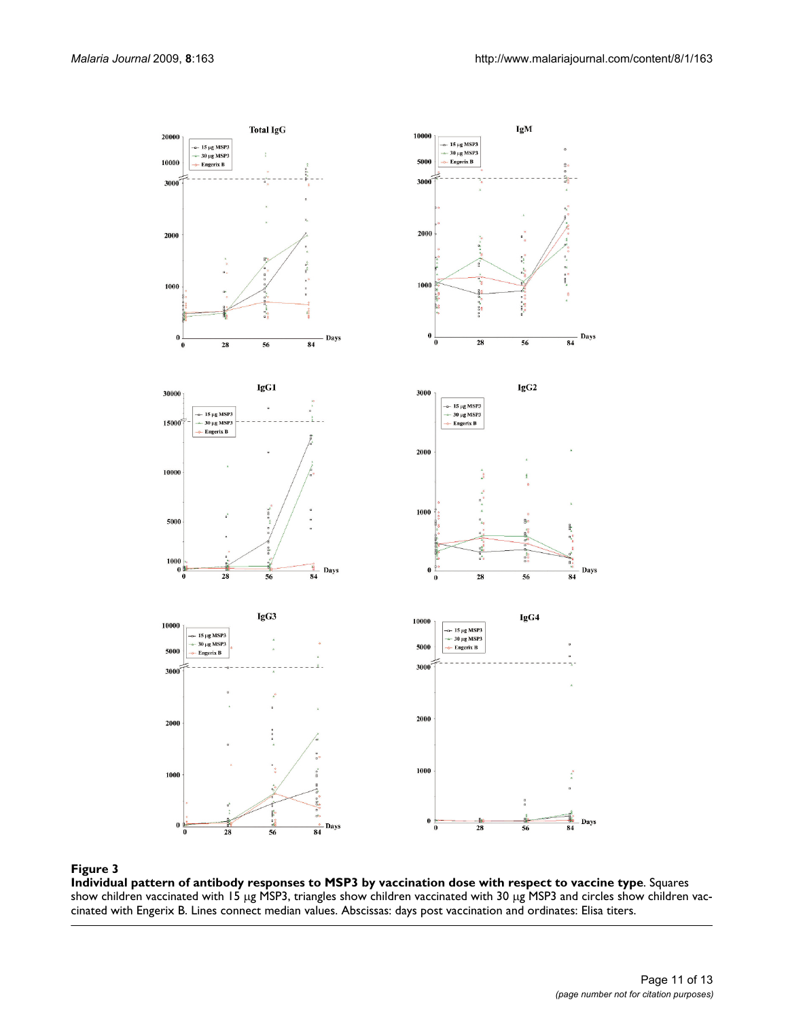

**Individual pattern of antibody responses to MSP3 by vaccination dose with respect to vaccine type**. Squares show children vaccinated with 15 μg MSP3, triangles show children vaccinated with 30 μg MSP3 and circles show children vaccinated with Engerix B. Lines connect median values. Abscissas: days post vaccination and ordinates: Elisa titers.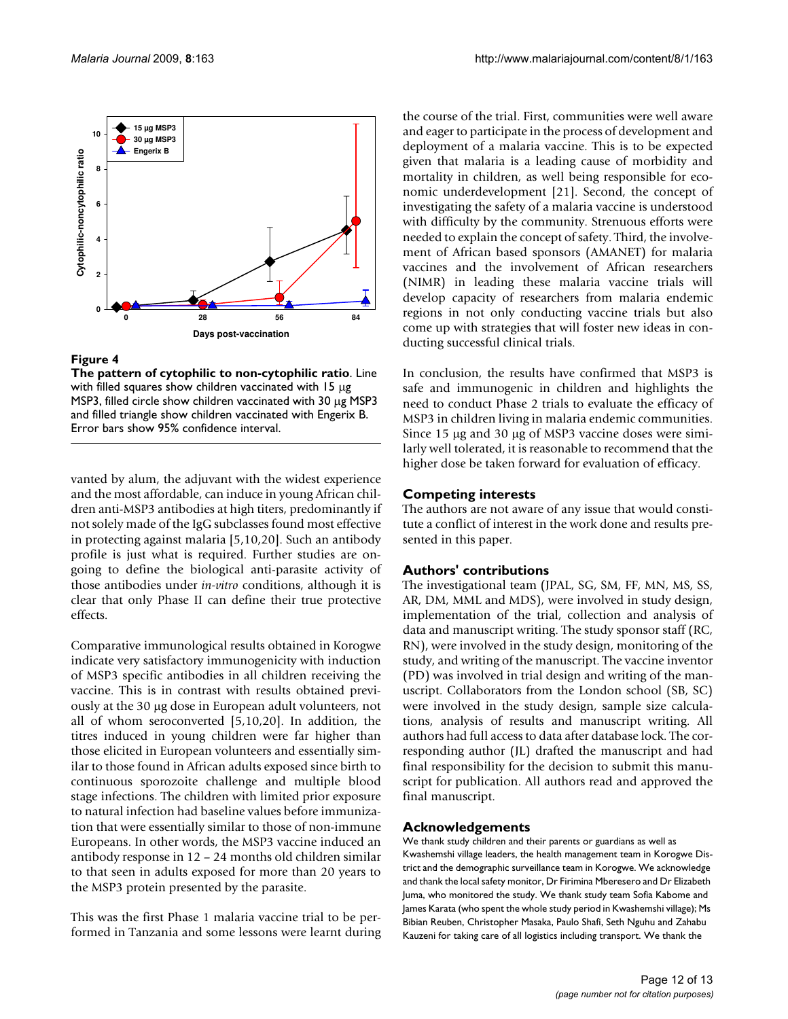

## Figure 4

**The pattern of cytophilic to non-cytophilic ratio**. Line with filled squares show children vaccinated with 15 μg MSP3, filled circle show children vaccinated with 30 μg MSP3 and filled triangle show children vaccinated with Engerix B. Error bars show 95% confidence interval.

vanted by alum, the adjuvant with the widest experience and the most affordable, can induce in young African children anti-MSP3 antibodies at high titers, predominantly if not solely made of the IgG subclasses found most effective in protecting against malaria [5,10,20]. Such an antibody profile is just what is required. Further studies are ongoing to define the biological anti-parasite activity of those antibodies under *in-vitro* conditions, although it is clear that only Phase II can define their true protective effects.

Comparative immunological results obtained in Korogwe indicate very satisfactory immunogenicity with induction of MSP3 specific antibodies in all children receiving the vaccine. This is in contrast with results obtained previously at the 30 μg dose in European adult volunteers, not all of whom seroconverted [5,10,20]. In addition, the titres induced in young children were far higher than those elicited in European volunteers and essentially similar to those found in African adults exposed since birth to continuous sporozoite challenge and multiple blood stage infections. The children with limited prior exposure to natural infection had baseline values before immunization that were essentially similar to those of non-immune Europeans. In other words, the MSP3 vaccine induced an antibody response in 12 – 24 months old children similar to that seen in adults exposed for more than 20 years to the MSP3 protein presented by the parasite.

This was the first Phase 1 malaria vaccine trial to be performed in Tanzania and some lessons were learnt during the course of the trial. First, communities were well aware and eager to participate in the process of development and deployment of a malaria vaccine. This is to be expected given that malaria is a leading cause of morbidity and mortality in children, as well being responsible for economic underdevelopment [21]. Second, the concept of investigating the safety of a malaria vaccine is understood with difficulty by the community. Strenuous efforts were needed to explain the concept of safety. Third, the involvement of African based sponsors (AMANET) for malaria vaccines and the involvement of African researchers (NIMR) in leading these malaria vaccine trials will develop capacity of researchers from malaria endemic regions in not only conducting vaccine trials but also come up with strategies that will foster new ideas in conducting successful clinical trials.

In conclusion, the results have confirmed that MSP3 is safe and immunogenic in children and highlights the need to conduct Phase 2 trials to evaluate the efficacy of MSP3 in children living in malaria endemic communities. Since 15 μg and 30 μg of MSP3 vaccine doses were similarly well tolerated, it is reasonable to recommend that the higher dose be taken forward for evaluation of efficacy.

## **Competing interests**

The authors are not aware of any issue that would constitute a conflict of interest in the work done and results presented in this paper.

## **Authors' contributions**

The investigational team (JPAL, SG, SM, FF, MN, MS, SS, AR, DM, MML and MDS), were involved in study design, implementation of the trial, collection and analysis of data and manuscript writing. The study sponsor staff (RC, RN), were involved in the study design, monitoring of the study, and writing of the manuscript. The vaccine inventor (PD) was involved in trial design and writing of the manuscript. Collaborators from the London school (SB, SC) were involved in the study design, sample size calculations, analysis of results and manuscript writing. All authors had full access to data after database lock. The corresponding author (JL) drafted the manuscript and had final responsibility for the decision to submit this manuscript for publication. All authors read and approved the final manuscript.

## **Acknowledgements**

We thank study children and their parents or guardians as well as Kwashemshi village leaders, the health management team in Korogwe District and the demographic surveillance team in Korogwe. We acknowledge and thank the local safety monitor, Dr Firimina Mberesero and Dr Elizabeth Juma, who monitored the study. We thank study team Sofia Kabome and James Karata (who spent the whole study period in Kwashemshi village); Ms Bibian Reuben, Christopher Masaka, Paulo Shafi, Seth Nguhu and Zahabu Kauzeni for taking care of all logistics including transport. We thank the